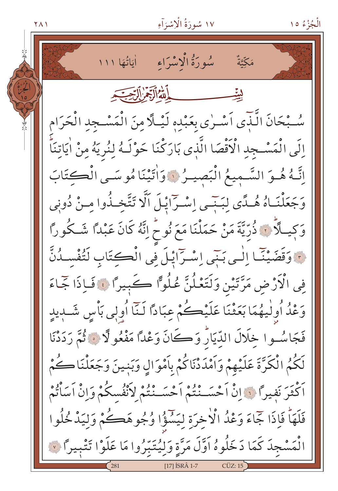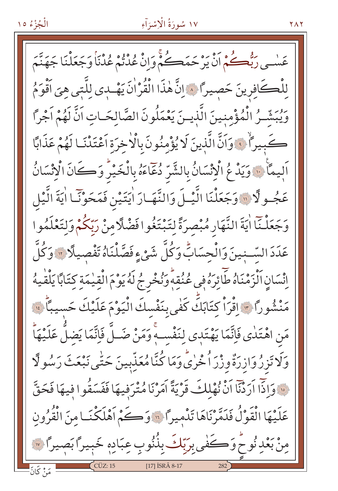عَسْمِي رَبُّعُكُمْ أَنْ يَرْحَمَكُمْ وَإِنْ عُدْتُمْ عُدْنَا وَجَعَلْنَا جَهَنَّمَ لِلْكَافِرِينَ حَصِيرًا ﴾ إِنَّ هٰذَا الْقُرْانَ يَهْدى للَّتِي هِيَ أَقْوَمُ وَيُبَشَّرُ الْمُؤْمِنِينَ الَّذِينَ يَعْمَلُونَ الصَّالحَـاتِ اَنَّ لَهُمْ اَجْراً كَبِيراً فِ وَاَنَّ الَّذِينَ لَا يُؤْمِنُونَ بِالْاٰخِرَةِ اَعْتَدْنَا لَهُمْ عَذَابًا اَلِيمَا ۚ وَيَدْ عُ الْإِنْسَانُ بِالشَّرِّ دُعَاءَهُ بِالْخَيْرِ وَكَانَ الْانْسَانُ عَجُـولًا ۞ وَجَعَلْنَا الَّيْـلَ وَالنَّهَـارَ اٰيَتَيْنِ فَمَحَوْنَـا اٰيَةَ الَّيْل وَجَعَلْـنَآ اٰيَةَ النَّهَارِ مُبْصرَةً لِتَبْتَغُوا فَضَّلَّامِنْ رَبَّكُمْ وَلِتَعْلَمُوا عَدَدَ السَّـنِينَ وَالْحِسَابِّ وَكُلَّ شَيْءٍ فَصَّلْنَاهُ تَفْصِيلًا ۚ وَكُلَّ اِنْسَانِ ٱلْزَمْنَاهُ طَائِرَهُ فِي عُنُقِهِ وَنُخْرِجُ لَهُ يَوْمَ الْقِيْمَةِ كِتَابًا يَلْقْيِهُ مَنْشُوراً ٣٠ إِقْرَاْ كِتَابَكَ كَفٰى بِنَفْسكَ الْيَوْمَ عَلَيْكَ حَسيباً ٣٠ مَنِ اهْتَلٰى فَاتَّمَا يَهْتَدٖى لِنَفْسِهِ وَمَنْ صَلَّ فَاتَّمَا يَضلُّ عَلَيْهَاْ وَلَا تَزِرُوَازِرَةٌ وزْرَ اُخْرٰىً وَمَا كُنَّامُعَذِّبِينَ حَتّٰى نَبْعَثَ رَسُولًا فَ وَإِذَا أَرَدْنَا أَنْ نُهْلِكَ قَرْيَةً أَمَرْنَا مُتْرَفِيهَا فَفَسَقُوا فِيهَا فَحَقَّ عَلَيْهَا الْقَوْلُ فَدَمَّرْنَاهَا تَدْمِيرًا ؟ وَكُمْ أَهْلَكْنَـا مِنَ الْقُرُونِ مِنْ بَعْدِنُوحٌ وَكَفَى بِرَبّكَ بِذُّنُوبٍ عِبَادِهِ خَبِيرًا بَصِيرًا ﴾ [17] ISRÂ 8-17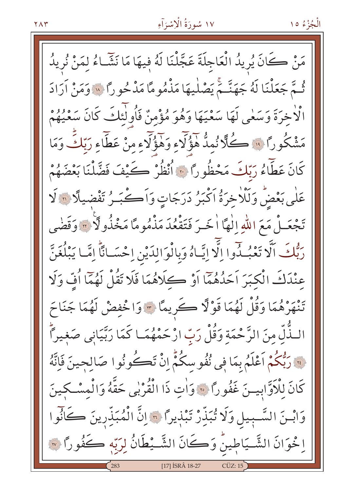الْجُزْءُ ١٥

مَنْ كَانَ يُرِيدُ الْعَاجِلَةَ عَجَّلْنَا لَهُ فِيهَا مَا نَشَّاءُ لِمَنْ نُرِيدُ ثُمَّ جَعَلْنَا لَهُ جَهَنَّمَ يَصْلِيهَا مَذْمُومًا مَدْحُوراً ۞ وَمَنْ أَرَادَ الْاخِرَةَ وَسَعٰى لَهَا سَعْيَهَا وَهُوَ مُؤْمِنٌ فَأُولَٰئِكَ كَانَ سَعْيُهُمْ مَشْكُورًا ۚ ۚ كَلَّا نُمِدٌّ هَؤُلَاءِ وَهَؤُلَاءِ مِنْ عَطَّاءِ رَبّكَ وَمَا كَانَ عَطَّاءُ رَبّكَ مَحْظُوراً ﴾ أَنْظُرْ كَيْفَ فَضَّلْنَا بَعْضَهُمْ عَلٰى بَعْضُ وَلَلْا خِرَةُ اَكْبَرُ دَرَجَاتٍ وَاَكْبَـرُ تَفْضيلًا 11 لَا تَجْعَـلْ مَعَ اللّٰهِ اِلٰهَا اٰخَـرَ فَتَقْعُدَ مَذْمُو مَّا مَخْذُولًا ۚ "وَقَضْى رَبُّكَ اَلَّا تَعْبُدُوا إِلَّا إِيَّاهُ وَبِالْوَالِدَيْنِ إِحْسَانًا إِمَّا يَبْلُغَنَّ عِنْدَكَ الْكَبَرَ اَحَدُهُمَا اَوْ كِلَاهُمَا فَلَا تَقُلْ لَهُمَّا أُفِّ وَلَا تَنْهَرْهُمَا وَقُلْ لَهُمَا قَوْلًا كَرِيمًا \* وَاخْفِضْ لَهُمَا جَنَاحَ الـذَّلِّ مِنَ الرَّحْمَةِ وَقُلْ رَبِّ ارْحَمْهُمَـا كَمَا رَبَّيَانِي صَغيراً فَ رَبُّكُمْ أَعْلَمُ بِمَا فِي نُفُو سِكُمٍّ إِنْ تَكُونُوا صَالحِينَ فَإِنَّهُ كَانَ لِلْأَوَّابِيسَ غَفُوراً ۞ وَاٰتِ ذَا الْقُرْبِي حَقَّهُ وَالْمِسْكِينَ وَابْـنَ السَّـبِيلِ وَلَا تُبَذِّرْ تَبْذِيرًا ۞ إِنَّ الْمُبَذِّرِينَ كَانُوا ا خْوَانَ الشَّـيَاطِينُ وَكَانَ الشَّـيْطَانُ لِرَبِّهِ كَفُورًا ۞ [17] ISRÂ 18-27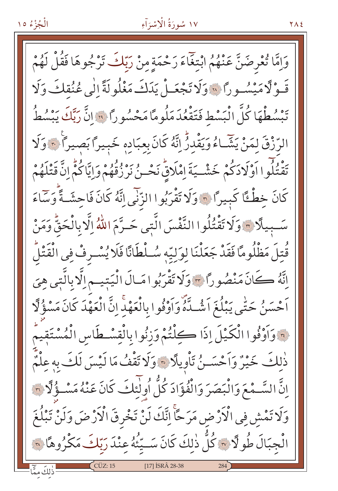#### ١٧ سُورَةُ الْإِسْرَآءِ

وَإِمَّا تُعْرِضَنَّ عَنْهُمُ ابْتِغَاءَ رَحْمَةٍ مِنْ رَبِّكَ تَرْجُوهَا فَقُلْ لَهُمْ قَوْلًا مَيْسُورًا ۞وَلَا تَجْعَـلْ يَدَكَ مَغْلُولَةً إِلَى عُنُقِكَ وَلَا تَبِسُطْهَا كُلَّ الْبَسْطِ فَتَقْعُدَ مَلُومًا مَحْسُورًا قَ إِنَّ رَبِّكَ يَبْسُطُ الرِّزْقَ لمَنْ يَشَّاءُ وَيَقْدَرُ إِنَّهُ كَانَ بِعِبَادِهِ خَبِيراً بَصِيراً ﴾ وَلَا تَقْتُلُوا اَوْلَادَكُمْ خَشْــيَةَ اِمْلَاقٍّ نَحْــنُ نَرْزُقُهُمْ وَإِيَّاكُمُّ اِنَّ قَتْلَهُمْ كَانَ خِطْئًا كَبِيرًا ۞ وَلَا تَقْرَبُوا الزَّنْيِ إِنَّهُ كَانَ فَاحِشَـةً وَسَاءَ سَّبِيلًا ۞وَلَا تَقْتُلُوا النَّفْسَ الَّتِي حَـرَّمَ اللَّهُ إِلَّا بِالْحَقُّ وَمَنْ قُتلَ مَظْلُومًا فَقَدْ جَعَلْنَا لِوَلِيّهِ سُلْطَانًا فَلَا يُسْرِفْ فِي الْقَتْلُ اتَّهُ ڪَانَ مَنْصُوراً ﴾ وَلَا تَقْرَبُوا مَالَ الْيَتِيم اِلَّا بِالَّتِي هِيَ اَحْسَنُ حَتّٰى يَبْلُغَ اَشْـدَّهُ وَاَوْفُوا بِالْعَهْدِ إِنَّ الْعَهْدَ كَانَ مَسْؤُلًا فَوَاَوْفُوا الْكَيْلَ إِذَا كِلْتُمْ وَزِنُوا بِالْقِسْطَاسِ الْمُسْتَقِيمُ ذٰلكَ خَيْرٌ وَاَحْسَىنُ تَأْوِيلًا ۞ وَلَا تَقْفُ مَا لَيْسَ لَكَ بِهِ عِلْمٌ إِنَّ السَّـمْعَ وَالْبَصَرَ وَالْفُؤَادَ كُلُّ أُولَٰئِكَ كَانَ عَنْهُ مَسْـؤُلَّا ٣ وَلَا تَمْشِ فِي الْأَرْضِ مَرَ حَأْ اِنَّكَ لَنْ تَخْرِقَ الْأَرْضَ وَلَنْ تَبْلُغَ الْجِبَالَ طُو لَا ٣ كُلَّ ذٰلكَ كَانَ سَــيَّنُهُ عِنْدَ رَبَّكَ مَكْرُوهَا ٣ ذَلِكَ مِمَّا [17] ISRA 28-38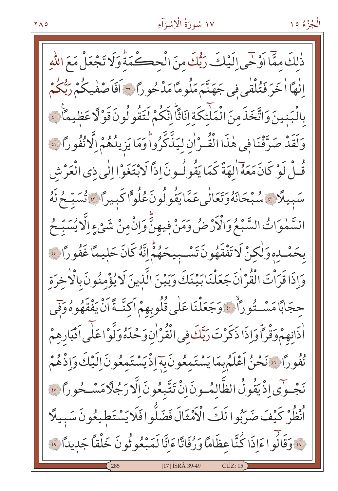الْجُزْءُ ١٥

ذٰلكَ ممَّا أَوْحَى إِلَيْكَ رَبُّكَ مِنَ الْحِكْمَةَ وَلَا تَجْعَلْ مَعَ اللَّهِ إِلٰهًا اٰخَرَ فَتُلْقَى فِي جَهَنَّمَ مَلُومًا مَدْحُورًا ﴾ أفَاصْفْيكُمْ رَبُّكُمْ بِالْبَنِينَ وَاتَّخَذَمِنَ الْمَلَّئِكَةِ إِنَاثًا إِنَّكُمْ لَتَقُو لُونَ قَوْلًا عَظِيمًا ۚ ﴾ وَلَقَدْ صَرَّفْنَا فِي هٰذَا الْقُـرْانِ ليَذَّكَّرُواً وَمَا يَزِيدُهُمْ إِلَّا نُفُوراً ۞ قُـلْ لَوْ كَانَ مَعَهُ الهَةٌ كَمَا يَقُولُـونَ إذاً لَابْتَغَوْا إِلٰى ذِي الْعَرْشِ سَبِيلًا » سُبْحَانَهُوَتَعَالَٰي عَمَّايَقُولُونَ عُلُوًّا كَبِيراً » تُسَبِّحُ لَهُ السَّمٰوَاتُ السَّبْعُ وَالْأَرْضُ وَمَنْ فِيهِنَّ وَإِنْْمِنْ شَيْءٍ اِلَّا يُسَبِّحُ بِحَمْـدِهِ وَلٰكِنْ لَا تَفْقَهُونَ تَسْـبِيحَهُمْ إِنَّهُ كَانَ حَلِيمًا غَفُورًا ﴾ وَاذَا قَرَأْتَ الْقُرْ اٰنَ جَعَلْنَا بَيْنَكَ وَبَيْنَ الَّذِينَ لَا يُؤْمِنُونَ بِالْاخِرَةِ حجَابًا مَسْــتُورًا ۚ ، وَجَعَلْنَا عَلَى قُلُوبِهِمْ اَكِنَّــةً اَنْ يَفْقَهُوهُ وَفِي اْذَانِهِمْ وَقْرَأُوَاذَا ذَكَرْتَ رَبَّكَ فِي الْقُرْاٰنِ وَحْدَهُ وَلَّوْا عَلَى اَدْبَارِهِمْ نُفُورًا ۞ نَحْنُ اَعْلَمُ بِمَا يَسْتَمِعُونَ بِهَ إِذْ يَسْتَمِعُونَ اِلَيْكَ وَإِذْهُمْ نَجْوَى إِذْ يَقُولُ الظَّالِمُونَ إِنْ تَتَّبِعُونَ إِلَّا رَجُلًا مَسْـحُوراً ﴾ ٱنْظُرْ كَيْفَ ضَرَبُوا لَكَ الْأَمْثَالَ فَضَلُّوا فَلَا يَسْتَطِيعُونَ سَبِيلًا لِهِ وَقَالُوا ءَاِذَا كُنَّا عظَامًا وَرُفَاتًا ءَاِنَّا لَمَبْعُوثُونَ خَلْقًا جَدِيدًا ﴾ [17] ISRÂ 39-49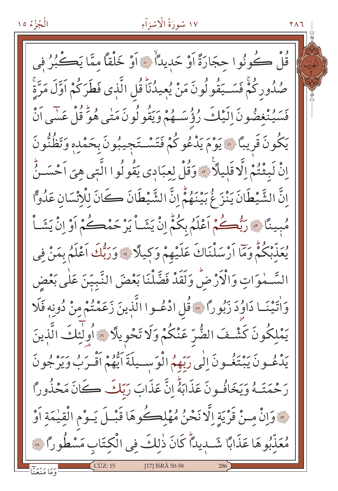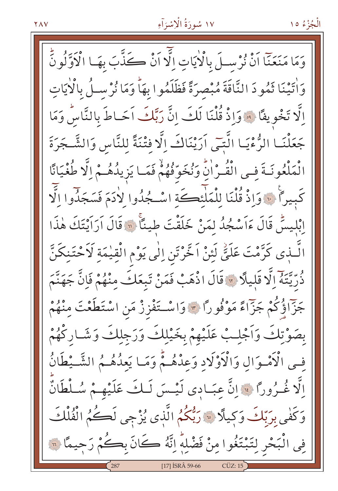الْجُزْءُ ١٥

وَمَا مَنَعَنَّا اَنْ نُرْسِلَ بِالْأَيَاتِ اِلَّا اَنْ كُذَّبَ بِهَـا الْأَوَّلُونُّ وَاٰتِينَا ثَمُودَ النَّاقَةَ مُبْصِرَةً فَظَلَمُوا بِهَاْ وَمَا نُرْسِلُ بِالْأَيَاتِ الَّا تَخْوِيفًا ۚ وَاذْ قُلْنَا لَكَ انَّ رَبَّكَ اَحَـاطَ بِالنَّاسُ وَمَا جَعَلْنَـا الرُّءْيَـا الَّتِـِّي اَرَيْنَاكَ إِلَّا فِتْنَةً لِلنَّاسِ وَالشَّـجَرَةَ الْمَلْعُونَـةَ فـى الْقُـرْانُ وَنُخَوِّفُهُمْ فَمَـا يَزِيلُهُـمْ إِلَّا طُغْيَانًا كَبِيراً فَيَ وَإِذْ قُلْنَا لِلْمَلْئِكَةِ اسْجُدُوا لِأَدَمَ فَسَجَدُوا الَّا إِبْلِيسٌ قَالَ ءَاَسْجُدُ لِمَنْ خَلَقْتَ طِيئًا ۚ ۚ وَقَالَ أَرَاَيْتَكَ هٰذَا الَّـذِي كَرَّمْتَ عَلَيِّ لَئِنْ اَخَّرْتَنِ اِلٰى يَوْمِ الْقِيْمَةِ لَاَحْتَنِكَنَّ ذُرِّيَّتَهُ إِلَّا قَلِيلًا \* قَالَ اذْهَبْ فَمَنْ تَبِعَكَ مِنْهُمْ فَإِنَّ جَهَنَّمَ جَزَّاؤُكُمْ جَزَّاءً مَوْفُورًا ۞ وَاسْتَفْزِزْ مَنِ اسْتَطَعْتَ مِنْهُمْ بصَوْتِكَ وَاَجْلِبْ عَلَيْهِمْ بِخَيْلِكَ وَرَجِلِكَ وَشَـارِكْهُمْ فِي الْأَمْوَالِ وَالْأَوْلَادِ وَعِدْهُـمْ وَمَـا يَعِدُهُـمُ الشَّـيْطَانُ اِلَّا غُـرُوراً فَ إِنَّ عِبَـادِي لَيْـسَ لَـكَ عَلَيْهِـمْ سُـلْطَانٌ وَكَفٰى بِرَبّكَ وَكِيلًا ۚ رَبُّكُمُ الَّذِى يُزْجِى لَكُمُ الْفُلْكَ فِي الْبَحْرِ لِتَبْتَغُوا مِنْ فَضْلِهِ إِنَّهُ كَانَ بِكُمْ رَحِيمًا ۞ [17] ISRÂ 59-66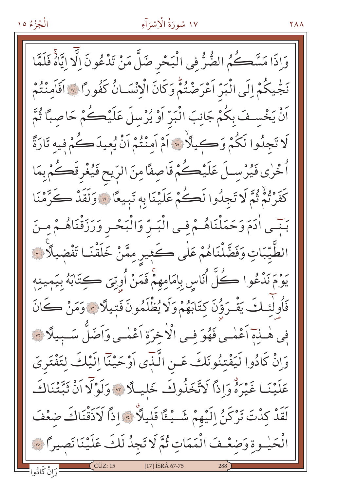### ١٧ سُورَةُ الْإِسْرَاءِ

**YAA** 

وَإِذَا مَسَّكُمُ الضُّرُّ فِي الْبَحْرِ ضَلَّ مَنْ تَدْعُونَ إِلَّا إِيَّاهً فَلَمَّا نَجْيِكُمْ إِلَى الْبَرِّ أَعْرَضْتُمْ وَكَانَ الْإِنْسَـانُ كَفُوراً \* أَفَاَمِنْتُمْ اَنْ يَخْسِفَ بِكُمْ جَانِبَ الْبَرّ اَوْ يُرْسِلَ عَلَيْكُمْ حَاصِبًا ثُمَّ كَا تَجِدُوا لَكُمْ وَكِيلًا ۚ لَّهَ أَمْ أَمَّنْتُمْ أَنْ يُعِيدَكُمْ فِيهِ تَارَةً اْخْرٰى فَيُرْسِـلَ عَلَيْكُمْ قَاصِفًا مِنَ الرِّيح فَيُغْرِقَكُمْ بِمَا كَفَرْنُمْ ثُمَّ لَا تَجِدُوا لَكُمْ عَلَيْنَا بِهِ تَبِيعًا ۚ وَلَقَدْ كَرَّمْنَا بَبْسِي اٰدَمَ وَحَمَلْنَاهُـمْ فِسِي الْبَسِّ وَالْبَحْسِ وَرَزَقْنَاهُـمْ مِسْنَ الطَّيِّبَاتِ وَفَضَّلْنَاهُمْ عَلٰى كَثِيرِ مِمَّنْ خَلَقْنَـا تَفْضِيلًا \*\* يَوْمَ نَدْعُوا كُلُّ أُنَاسِ بِإِمَامِهِمْ فَمَنْ أُوتِيَ كِتَابَهُ بِيَمِينِهِ فَأُولْئِكَ يَقْرَؤُنَ كِتَابَهُمْ وَلَا يُظْلَمُونَ فَتِيلًا ﴾ وَمَنْ كَانَ فِي هٰـذَةِ أَعْمٰـي فَهُوَ فـي الْأُخرَةِ أَعْمٰـي وَأَضَلُّ سَـبِيلًا ۞ وَإِنْ كَادُوا لَيَفْتِنُونَكَ عَـنِ الَّذَى أَوْحَيْنَا إِلَيْكَ لِتَفْتَرِيَ عَلَيْنَـا غَيْرَهُ وَإِذًا لَاتَّخَذُوكَ خَليـلًا ۞ وَلَوْلَا اَنْ ثَبَّتْنَاكَ يَرَ وَلَاتَ تَرْكَنُ الَيْهِمْ شَــْـُـــًا قَلِيلًا \* إِذاً لَاَذَقْنَاكَ ضَعْفَ الْحَيْـوةِ وَضغْـفَ الْمَمَاتِ ثُمَّ لَا تَجِدُ لَكَ عَلَيْنَا نَصِيرًا ۞  $CCUZ:15$  $[17]$  İSRÂ 67-75 وَانْ كَادُوا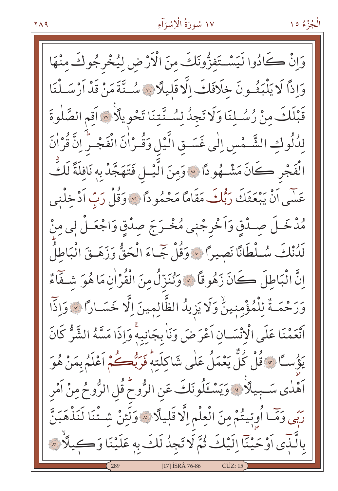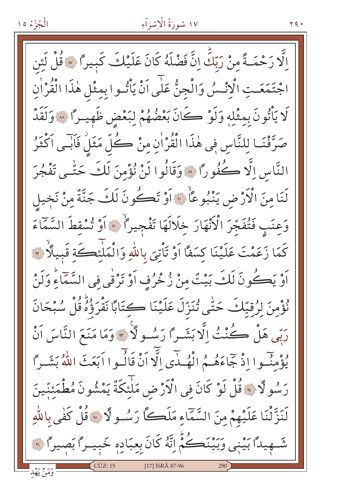### ١٧ سُورَةُ الْإِسْرَآءِ

الَّا رَحْمَـةً منْ رَبّكِّ إِنَّ فَضْلَهُ كَانَ عَلَيْكَ كَبِيراً \* قُلْ لَئِن اجْتَمَعَتِ الْإِنْسُ وَالْجِنُّ عَلَى اَنْ يَأْتُوا بِمِثْلِ هٰذَا الْقُرْاٰنِ لَا يَأْتُونَ بِمثْلِهِ وَلَوْ كَانَ بَعْضُهُمْ لِبَعْضِ ظَهِيـرًا ۞ وَلَقَدْ صَرَّفْنَـا لِلنَّاسِ فِي هٰذَا الْقُرْاٰنِ مِنْ كُلِّ مَثَلُ فَأَبِّـي اَكْثَرُ النَّاسِ إِلَّا كُفُوراً ۞ وَقَالُوا لَنْ نُؤْمِنَ لَكَ حَتَّـى تَفْجُرَ لَنَا مِنَ الْأَرْضِ يَنْبُوعَاْ ﴾ أَوْ تَكُونَ لَكَ جَنَّةٌ مِنْ نَخيل وَعِنَبٍ فَتُفَجِّرَ الْأَنْهَارَ خِلَالَهَا تَفْجِيراً ۚ ﴾ أَوْ تُسْقِطَ السَّمَاءَ كَمَا زَعَمْتَ عَلَيْنَا كِسَفًا اَوْ تَأْتِيَ بِاللَّهِ وَالْمَلْئِكَة قَبِيلًا ۚ ﴾ اَوْ يَكُونَ لَكَ بَيْتٌ مِنْ زُخْرُفٍ اَوْ تَرْفَى فِي السَّمَاءِ وَلَنْ نُؤْمِنَ لِرُقِيّلَكَ حَتّٰى تُنَزّلَ عَلَيْنَا كِتَابًا نَقْرَؤُهُ قُلْ سُبْحَانَ رَبِّي هَلْ كُنْتُ الَّا بَشَيرًا رَسُـولًا \* وَمَا مَنَعَ النَّاسَ اَنْ يُؤْمِنُوا إِذْ جَاءَهُـمُ الْهُـدٰى الَّا أَنْ قَالُـوا اَبَعَثَ اللَّهُ بَشَـراً رَسُولًا ﴾ قُلْ لَوْ كَانَ فِي الْأَرْضِ مَلْئِكَةٌ يَمْشُونَ مُطْمَئنّينَ لَنَزَّلْنَا عَلَيْهِمْ مِنَ السَّمَّاءِ مَلَكًّا رَسُـولًا \* قُلْ كَفٰى بِاللَّهِ شَــهيداً بَيْني وَبَيْنَڪُمُّ اِنَّهُ كَانَ بِعِبَادِهِ خَبِيـراً بَصِيراً ﴾ [17] ISRÂ 87-96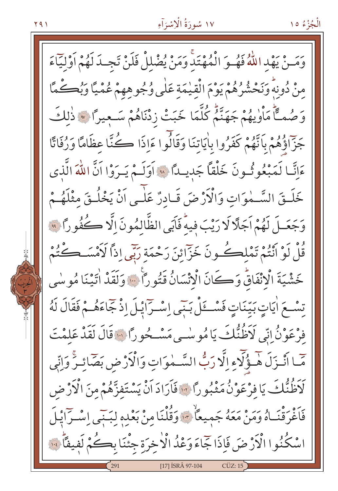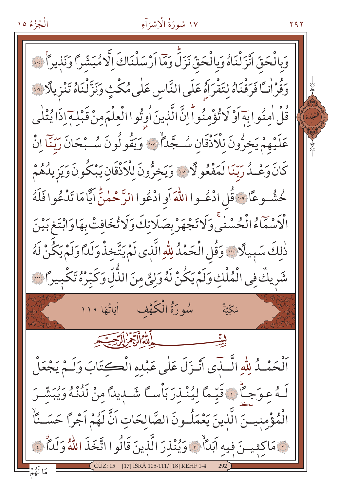الْجُزْءُ ١٥

وَبِالْحَقِّ انْزَلْنَاهُ وَبِالْحَقِّ نَزَلِّ وَمَا اَرْسَلْنَاكَ اِلَّاهُبَشّْراً وَنَذيراً فَ وَقُرْاٰنَـاً فَرَقْنَاهُ لِتَقْرَاهُ عَلَى النَّاسِ عَلَى مُكْثٍ وَنَزَّنْنَاهُ تَنْزِيلًا لِنَّا قُلْ اٰمِنُوا بِهَاَوْ لَا تُؤْمِنُواْ إِنَّ الَّذِينَ أُوتُوا الْعِلْمَ مِنْ قَبْلِهَ إِذَا يُتْلٰى عَلَيْهِمْ يَخِرُّونَ لِلْأَذْقَانِ سُـجَّدَأٌ \* وَيَقُولُونَ سُـبْحَانَ رَبِّنَا اِنْ كَانَ وَعْـدُ رَبّنَا لَمَفْعُو لَّا سَيْ وَيَخِرُّونَ لِلْأَذْقَانِ يَبْكُونَ وَيَزِيدُهُمْ خُشُّـوعًا فَيْ قُلِ ادْعُـوا اللهَ أَو ادْعُوا الرَّحْمٰنِّ آيًّا مَا تَدْعُوا فَلَهُ الْأَسْمَاءُ الْحُسْنَى وَلَا تَجْهَرْ بِصَلَاتِكَ وَلَا تُخَافِتْ بِهَا وَابْتَغ بَيْنَ ذٰلِكَ سَبِيلًا ۚ وَقُلِ الْحَمْدُ لِلَّهِ الَّذِى لَمْ يَتَّخِذْ وَلَدًّا وَلَمْ يَكُنْ لَهُ شَرِيكٌ فِي الْمُلْكِ وَلَمْ يَكُنْ لَهُ وَلِيٌّ مِنَ الذَّلِّ وَكَبِّرْهُ تَكْبِيراً ۚ ۚ مَكَّتَّةٌ أَلْحَمْـدُ لِلّهِ الَّــذَى أَنْـزَلَ عَلٰى عَبْده الْڪتَابَ وَلَـمْ يَجْعَلْ لَـهُ عِـوَجـَّأَ ۞ قَيّحًا لِيُنْـذِرَ بَأْسـَّا شَــدِيدًا مِنْ لَدُنْهُ وَيُبَشّـرَ الْمُؤْمِنِيسَ الَّذِينَ يَعْمَلُونَ الصَّالِحَاتِ اَنَّ لَهُمْ اَجْرًا حَسَــنَّا نَ مَاكِثِينَ فِيهِ أَبَدَأُ \* وَيُنْذِرَ الَّذِينَ قَالُوا اتَّخَذَ اللَّهُ وَلَدَّأَ فَ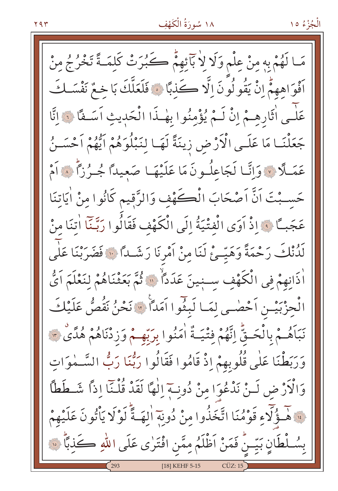ا لَهُمْ بِهِ مِنْ عِلْمٍ وَلَا لِا بَآْئِهِمْ كَبُرَتْ كَلِمَـةً تَخْرُجُ مِنْ أَفْوَاهِهِمّْ إِنْ يَقُو لُونَ الَّا كَذبًا ۞ فَلَعَلَّكَ بَا خِعٌ نَفْسَكَ عَلٰـى اٰثَارِهِـمْ إِنْ لَـمْ يُؤْمِنُوا بِهٰـذَا الْحَدِيثِ اَسَـفًا ﴾ إِنَّا جَعَلْنَـا مَا عَلَـى الْأَرْضِ زِينَةً لَهَـا لِنَبْلُوَهُمْ اَيُّهُمْ اَحْسَـنُ عَمَلًا ۞ وَإِنَّا لَجَاعِلُونَ مَا عَلَيْهَا صَعِيدًا جُـرُزًا ۞ أَمْ حَسَبْتَ اَنَّ اَصْحَابَ الْكَهْفِ وَالزَّقِيمِ كَانُوا مِنْ اٰيَاتِنَا عَجَبـًا ۚ وَإِذْ أَوَى الْفِتْيَةُ إِلَى الْكَهْفِ فَقَالُوا رَبَّنَا أَتنَا مِنْ لَدُّنْكَ رَحْمَةً وَهَيِّـئْ لَنَا مِنْ اَمْرِنَا رَشَّـداً ۞ فَضَرَبْنَا عَلَّمَ اٰذَانِهِمْ فِي الْكَهْفِ سِنِينَ عَدَدًا ۚ ۚ ثُمَّ بَعَثْنَاهُمْ لِنَعْلَمَ اَيُّ الْحِزْبَيْـنِ اَحْضٰـي لِمَـا لَبِثُّوا اَمَداً ۞ نَحْنُ نَقُصُّ عَلَيْكَ نَبَأَهُـمْ بِالْحَـقِّ إِنَّهُمْ فِتْيَـةٌ اٰمَنُوا بِرَبِّهِـمْ وَزِدْنَاهُمْ هُدًىٰ ۚ وَرَبَطْنَا عَلَى قُلُوبِهِمْ إِذْ قَامُوا فَقَالُوا رَبُّنَا رَبُّ السَّــمٰوَاتِ وَالْأَرْضِ لَـنْ نَدْعُوَا مِنْ دُونِــةٍ إِلٰهًا لَقَدْ قُلْـنَا إِذاً شَــطَطاً فَالْمَحْوَلَاءِ قَوْمُنَا اتَّخَذُوا مِنْ دُونِهِ الهَــةَّ لَوْلَا يَأْتُونَ عَلَيْهِمْ بِسُلْطَانٍ بَيِّـنٌ فَمَنْ اَظْلَمُ مِمَّن افْتَرٰى عَلَى اللهِ كَذِبًا ۚ ۞ [18] KEHF 5-15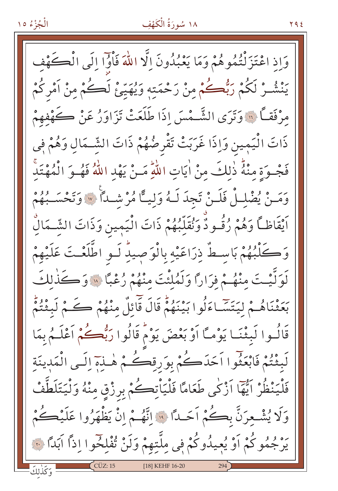## ١٨ سُورَةُ الْكَهْفِ

**Y 9 2** 

وَإِذَ اعْتَزَلْتُمُوهُمْ وَمَا يَعْبُدُونَ إِلَّا اللَّهَ فَأَوَّا إِلَى الْكَءَ يَنْشُرْ لَكُمْ رَبُّكُمْ مِنْ رَحْمَتِهِ وَيُهَيِّئْ لَكُمْ مِنْ اَمْرِكُمْ مرْفَقاً \* وَتَرَى الشَّـْمْسَ إِذَا طَلَعَتْ تَزَاوَرُ عَنْ كَـهْفهمْ ذَاتَ الْيَمِينِ وَإِذَا غَرَبَتْ تَقْرِضُهُمْ ذَاتَ الشَّـمَالِ وَهُمْ فِي فَجْـوَةِ مِنْهُ ذٰلِكَ مِنْ اٰيَاتِ اللّهِ مَـنْ يَهْدِ اللّهُ فَهُـوَ الْمُهْتَد وَمَـنْ يُضْلِـلْ فَلَـنْ تَجِدَ لَـهُ وَلِيــًّا مُرْشَــدًا ۞ وَتَحْسَــبُهُمْ اَيْقَاظاً وَهُمْ رُقُودٌ وَنُقَلِّبُهُمْ ذَاتَ الْيَمِينِ وَذَاتَ الشَّـمَالِّ وَكَلّْبُهُمْ بَاسِطٌ ذِرَاعَيْهِ بِالْوَصِيدِ لَـو اطَّلَعْـتَ عَلَيْهِمْ لَوَلَّيْتَ مِنْهُمْ فَرَارًا وَلَمُلْئَتَ مِنْهُمْ رُعْبًا ۞ وَكَذٰلِكَ بَعَثْنَاهُـمْ لِيَتَّسَّـاءَلُوا بَيْنَهُمّْ قَالَ قَائِلٌ مِنْهُمْ ڪَمْ لَبِثْتُمْ قَالُـوا لَبِثْنَـا يَوْمـًا أَوْ بَعْضَ يَوْمٌ قَالُوا رَبُّعــُمْ أَعْلَـمُ بِمَا لَبِثْتُمْ فَابْعَثُوا اَحَدَكُمْ بِوَرِقِكُمْ هٰـنِيٓ إِلَـى الْمَدِينَةِ فَلْيَنْظُرْ اَيُّهَا اَزْكٰى طَعَامًا فَلْيَاْتِكُمْ بِرِزْقِ مِنْهُ وَلْيَتَلَطَّفْ وَلَا يُشْعرَنَّ بِكُمْ اَحَدًا ۚ وَالَّهُمْ إِنْ يَظْهَرُوا عَلَيْكُمْ يَرْجُمُوكُمْ أَوْ يُعِيدُوكُمْ فِي مِلَّتِهِمْ وَلَنْ تُفْلِخُوا إِذاً آبَدًا ۞ وَكَذٰلكَ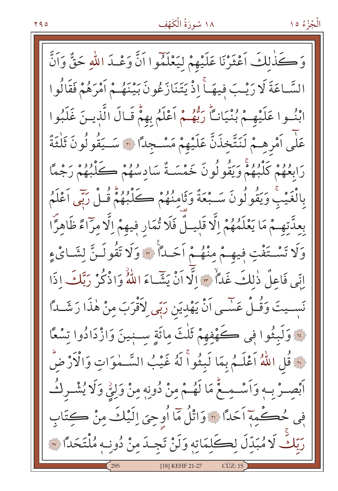وَكَذَٰلِكَ أَعْثَرْنَا عَلَيْهِمْ لِيَعْلَمُوا أَنَّ وَعْـدَ اللّهِ حَقٌّ وَأَنَّ السَّاعَةَ لَا رَيْبَ فِيهَــٰٓ إِذْ يَتَنَازَعُونَ بَيْنَهُـمْ أَمْرَهُمْ فَقَالُوا ابْنُسوا عَلَيْهِمْ بُنْيَانِكًا رَبُّهُمْ أَعْلَمُ بِهِمّْ قَبَالَ الَّذِينَ غَلَبُوا عَلٰى أَمْرِهِمْ لَنَتَّخِذَنَّ عَلَيْهِمْ مَسْجِدًا لَ سَــَقُولُونَ ثَلْثَةٌ رَابِعُهُمْ كَلْبُهُمْ وَيَقُولُونَ خَمْسَـةٌ سَادِسُهُمْ كَلْبُهُمْ رَجْمًا بِالْغَيْبِ وَيَقُولُونَ سَـبْعَةٌ وَثَامِنُهُمْ كَلْبُهُمْ قُـلْ رَبِّي اَعْلَمُ بِعِدَّتِهِـمْ مَا يَعْلَمُهُمْ إِلَّا قَلِيَـلٌ فَلَا تُمَارِ فِيهِمْ إِلَّا مِرَّاءً ظَاهِرًّا وَلَا تَسْتَفْتٍ فِيهِمْ مِنْهُمْ اَحَداً لَ وَلَا تَقُولَنَّ لِشَائِءِ إِنِّي فَاعِلٌ ذٰلِكَ غَدَآ ٣ إِلَّا أَنْ يَشَاءَ اللَّهُ وَاذْكُرْ رَبَّكَ اذَا نَسِـيتَ وَقُـلْ عَسْـى اَنْ يَهْدِيَن رَبِّى لِأَقْرَبَ مِنْ هٰذَا رَشَــٰدًا لَّةَ وَلَبِثُوا فِي كَهْفِهِمْ ثَلْثَ مِائَةِ سَـنِينَ وَازْدَادُوا تِسْعًا نَّةَ قُلِ اللَّهُ اَعْلَـمُ بِمَا لَبِثُواْ لَهُ غَيْبُ السَّـمٰوَاتِ وَالْأَرْضُ اَبْصِـرْ بِـهِ وَاَسْـمِـعٌ مَا لَهُـمْ مِنْ دُونِهِ مِنْ وَلِيِّ وَلَا يُشْـرِكُـ فِي حُڪْمِهِ اَحَداً ۞ وَاتْلُ مَا اُوحِيَ اِلَيْكَ مِنْ ڪِتَابِ رَبّكَ لَا مُبَدّلَ لِكَلِمَاتِهِ وَلَنْ تَجِدَمِنْ دُونِهِ مُلْتَحَدًا ۞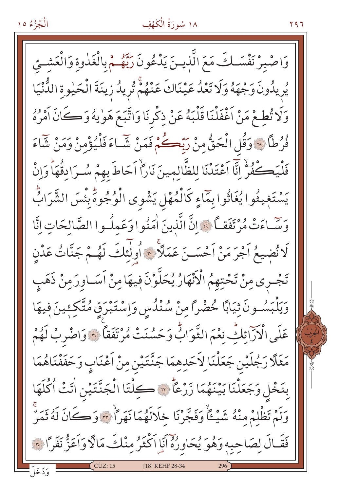## ١٨ سُورَةُ الْكَهْفِ

۲۹٦

وَاصْبِرْ نَفْسَكَ مَعَ الَّذِينَ يَدْعُونَ رَبَّهُمْ بِالْغَدٰوةِ وَالْعَشْتِيّ يُرِ يِدُونَ وَجْهَهُ وَلَا تَعْدُ عَيْنَاكَ عَنْهُمْ تُرِيدُ زِينَةَ الْحَيْوةِ الدُّنْيَا وَلَا تُطِعْ مَنْ اَغْفَلْنَا قَلْبَهُ عَنْ ذِكْرِنَا وَاتَّبَعَ هَوٰيهُ وَكَانَ اَمْرُهُ فُرُطًا لِلَّهِ وَقُلِ الْحَقُّ مِنْ رَبَّكُمْ فَمَنْ شَاءَ فَلْيُؤْمِنْ وَمَنْ شَاءَ فَلْيَكْفُوْ إِنَّا اَعْتَدْنَا للظَّالمينَ نَارًاْ اَحَاطَ بهمْ سُـرَادِقُهَاْ وَاِنْ يَسْتَغِيثُوا يُغَاثُوا بِمَاءٍ كَالْمُهْلِ يَشْوِي الْوُجُوهِ بِئْسَ الشَّرَابُّ وَسَّاءَتْ مُرْتَفَقِيًا ۚ وَإِنَّ الَّذِينَ اٰمَنُوا وَعَمِلُوا الصَّالِحَاتِ إِنَّا لَا نُضِيعُ اَجْرَ مَنْ اَحْسَىنَ عَمَلاً \* أُولٰئِكَ لَهُمْ جَنَّاتُ عَدْنِ تَجْـري مِنْ تَحْتِهِمُ الْأَنْهَارُ يُحَلَّوْنَ فِيهَا مِنْ اَسَـاوِرَ مِنْ ذَهَبِ وَيَلْبَسُونَ ثِيَابًا خُضْرًا مِنْ سُنْدُسٍ وَاِسْتَبْرَقٍ مُتَّكِئِينَ فِيهَا عَلَى الْإِرَائِكِّ نِعْمَ الثَّوَابُّ وَحَسُنَتْ مُرْتَفَقاً ۞ وَاصْرِبْ لَهُمْ مَثَلَّا رَجُلَيْنِ جَعَلْنَا لِأَحَدِهِمَا جَنَّتَيْنِ مِنْ أَعْنَابٍ وَحَفَفْنَاهُمَا بِنَخْلِ وَجَعَلْنَا بَيْنَهُمَا زَرْعًاْ ٣ كِلْتَا الْجَنَّتَيْنِ اٰتَتْ اُكْلَهَا وَلَمْ تَظْلِمْ مِنْهُ شَيْئًا وَفَجَّرْنَا خَلَالَهُمَا نَهَرًا \* وَكَانَ لَهُ ثَمَرٌ فَقَالَ لِصَاحِبِهِ وَهُوَ يُحَاوِرُهُ أَنَا أَكْثَرُ مِنْكَ مَالًا وَأَعَزُّ نَفَرًا ؟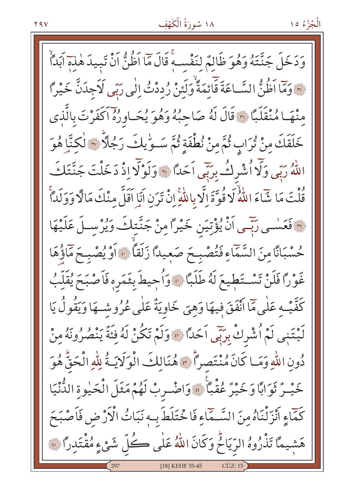الْجُزْءُ ١٥

وَدَخَلَ جَنَّتَهُ وَهُوَ ظَالِمٌ لنَفْسِهِ قَالَ مَا اَظُنُّ اَنْ تَبِيدَ هٰذِ آبَداً ِ ﴾ وَمَا اَظُنُّ السَّـاعَةَ قَائِمَةٌ وَلَئِنْ رُدِدْتُ اِلٰى رَبِّى لَاَجِدَنَّ خَيْراً مِنْهَا مُنْقَلَبًا ﴾ قَالَ لَهُ صَاحِبُهُ وَهُوَ يُحَـاوِرُهُ اكْفَرْتَ بِالَّذِي خَلَقَكَ مِنْ تُرَابِ ثُمَّ مِنْ نُطْفَةٍ ثُمَّ سَـوِّيكَ رَجُلًّا \* لَكِنَّا هُوَ اللَّهُ رَبِّي وَلَّا اُشْرِكُ بِرَبِّي اَحَدًا ۞ وَلَوْلَا إِذْ دَخَلْتَ جَنَّتَكَ قُلْتَ مَا شَّاءَ اللَّهُ لَا قُوَّةَ إِلَّا بِاللَّهِ إِنْ تَرَن أَبَا اَقَلَّ مِنْكَ مَالَّا وَوَلَداً فَعَسْمِي رَبِّمِي أَنْ يُؤْتِيَنِ خَيْرًا مِنْ جَنَّتِكَ وَيُرْسِـلَ عَلَيْهَا حُسْبَانًا مِنَ السَّمَّاءِ فَتُصْبِحَ صَعِيدًا زَلَقًا ﴾ أَوْ يُصْبِحَ مَاؤُهَا غَوْرًا فَلَنْ تَسْتَطِيعَ لَهُ طَلَبًا ۞ وَأُحِيطَ بِثَمَرِهِ فَأَصْبَحَ يُقَلِّبُ كَفَّيْبِهِ عَلٰى مَاۤ اَنْفَقَ فِيهَا وَهِيَ خَاوِيَةٌ عَلٰى عُرُوشِـهَا وَيَقُولُ يَا لَيْتَنِي لَمْ أُشْرِكْ بِرَبِّي اَحَدًا ۞ وَلَمْ تَكُنْ لَهُ فِئَةٌ يَنْصُرُونَهُ مِنْ دُونِ اللَّهِ وَمَا كَانَ مُنْتَصِراً \* هُنَالِكَ الْوَلَايَـةُ لِلَّهِ الْحَقُّ هُوَ خَيْـرٌ ثَوَابًا وَخَيْرٌ عُقْبًا \* وَاضْـربْ لَهُمْ مَثَلَ الْحَيْوةِ الدُّنْيَا كَمَّاءٍ أَنْزَلْنَاهُ مِنَ السَّـمَّاءِ فَاخْتَلَطَ بِ4 نَبَاتُ الْأَرْضِ فَأَصْبَحَ هَشيمًا تَذْرُوهُ الرِّيَاحُ وَكَانَ اللَّهُ عَلَى كُلِّ شَيْءٍ مُقْتَدِرًا فَ [18] KEHF 35-45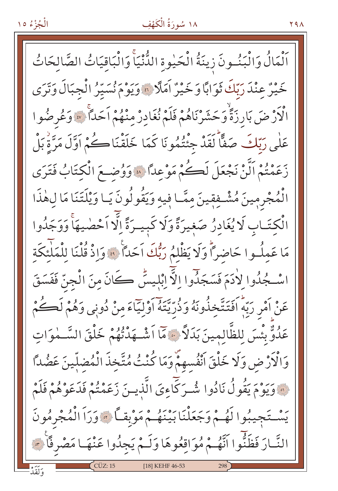اَلْمَالُ وَالْبَنُونَ زِينَةُ الْحَيْوةِ الدُّنْيَاَّ وَالْبَاقِيَاتُ الصَّالحَاتُ خَيْرٌ عِنْدَ رَبِّكَ ثَوَابًا وَخَيْرٌ آمَلًا ؟ وَيَوْمَ نُسَيِّرُ الْجِبَالَ وَتَرَى الْأَرْضَ بَارِزَةًٌ وَحَشَرْنَاهُمْ فَلَمْ نُغَادِرٌ مِنْهُمْ اَحَدًا ۚ ۚ وَعُرِضُوا عَلٰی رَبّكَ صَفًّا لَقَدْ جِئْتُمُونَا كَمَا خَلَقْنَاكُمْ اَوَّلَ مَرَّةٌ بَلْ رَعَمْتُمْ اَلَّنْ نَجْعَلَ لَكُمْ مَوْعِدًا ۞ وَوُضِعَ الْكِتَابُ فَتَرَى الْمُجْرِمِينَ مُشْـفِقِينَ مِمَّـا فِيهِ وَيَقُولُونَ يَـا وَيْلَتَنَا مَا لِهٰذَا الْكِتَـابِ لَا يُغَادِرُ صَغِيرَةً وَلَا كَبِيـرَةً الَّا اَحْضِيهَاْ وَوَجَدُوا مَا عَمِلُوا حَاضِراً وَلَا يَظْلَمُ رَبُّكَ اَحَداً ۚ ۚ وَاذْ قُلْنَا لِلْمَلِّئِكَة اسْكُدُوا لِأَدَمَ فَسَجَدُوا إِلَّا إِبْلِيسٌ كَانَ مِنَ الْجِنِّ فَفَسَقَ عَنْ اَمْرِ رَبَّهُ اَفَتَتَّخذُونَهُ وَذُرِّيَّتَهُ اَوْلِيّاءَ مِنْ دُونِي وَهُمْ لَكُمْ عَدُوٌّ بِئْسَ لِلظَّالِمِينَ بَدَلاً ۚ مَّا اَشْـهَدْتُهُمْ خَلْقَ السَّـمٰوَاتِ وَالْأَرْضِ وَلَا خَلْقَ أَنْفُسهمْ وَمَا كُنْتُ مُتَّخذَ الْمُضلّينَ عَضُدًّا نَّةَ وَيَوْمَ يَقُولُ نَادُوا شُـرَكَاءِيَ الَّذِيـنَ زَعَمْتُمْ فَدَعَوْهُمْ فَلَمْ يَسْتَجِيبُوا لَهُمْ وَجَعَلْنَا بَيْنَهُمْ مَوْبِقاً ﴾ وَرَاَ الْمُجْرِمُونَ النَّارَ فَظَنُّوا اَنَّهُمْ مُوَاقِعُوهَا وَلَـمْ يَجِدُوا عَنْهَـا مَصْرِفًا \*\* [18] KEHF 46-53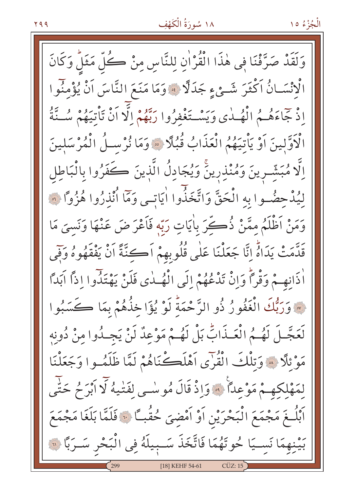وَلَقَدْ صَرَّفْنَا فِي هٰذَا الْقُرْاٰنِ لِلنَّاسِ مِنْ كُلِّ مَثَلٌ وَكَانَ الْانْسَانُ اَكْثَرَ شَيْءٍ جَدَلًا ﴾ وَمَا مَنَعَ النَّاسَ اَنْ يُؤْمِنُوا إِذْ جَاءَهُـمُ الْهُــٰدى وَيَسْـتَغْفِرُوا رَبَّهُمْ إِلَّا أَنْ تَأْتِيهُمْ سُــّٰتَةُ الْأَوَّلِينَ اَوْ يَأْتِيَهُمُ الْعَذَابُ قُبُلًا ۞ وَمَا نُرْسِلُ الْمُرْسَلِينَ اِلَّا مُبَشِّرينَ وَمُنْذِرِينَّ وَيُجَادِلُ الَّذِينَ كَفَرُوا بِالْبَاطِلِ لِيُدْحِضُوا بِهِ الْحَقَّ وَاتَّخَذُّوا اٰيَاتِي وَمَّا اُنْذِرُوا هُزُواً ۞ وَمَنْ اَظْلَمُ مِمَّنْ ذُكِّرَ بِأَيَاتِ رَبِّهِ فَاَعْرَضَ عَنْهَا وَنَسِيَ مَا قَدَّمَتْ يَدَاهُ إِنَّا جَعَلْنَا عَلٰى قُلُوبِهِمْ أَكِنَّةً أَنْ يَفْقَهُوهُ وَفِي أَذَانِهِـمْ وَقْرَأُ وَإِنْ تَدْعُهُمْ إِلَى الْهُــٰدى فَلَنْ يَهْتَذُوا إِذاً آبَداً لِهَ وَرَبُّكَ الْغَفُورُ ذُو الرَّحْمَةُ لَوْ يُؤَاخِذُهُمْ بِمَا كَسَبُوا لَعَجَّلَ لَهُمُ الْعَـذَابِّ بَلْ لَهُمْ مَوْعِدٌ لَنْ يَجِـدُوا مِنْ دُونِهِ مَوْ نَلَا ﴾ وَتِلْكَ الْقُرْى أَهْلَكْنَاهُمْ لَمَّا ظَلَمُوا وَجَعَلْنَا لِمَهْلِكِهِمْ مَوْعِدًا ﴾ وَإِذْ قَالَ مُوسْى لِفَتْيهُ لَا أَبْرَحُ حَتَّى اَبْلُــغَ مَجْمَعَ الْبَحْرَيْنِ اَوْ اَمْضِىَ حُقُبــًا ۞ فَلَمَّا بَلَغَا مَجْمَعَ بَيْنِهِمَا نَسِيَا حُوتَهُمَا فَاتَّخَذَ سَبِيلَهُ فِي الْبَحْرِ سَـرَبًا لِهِ [18] KEHF 54-61